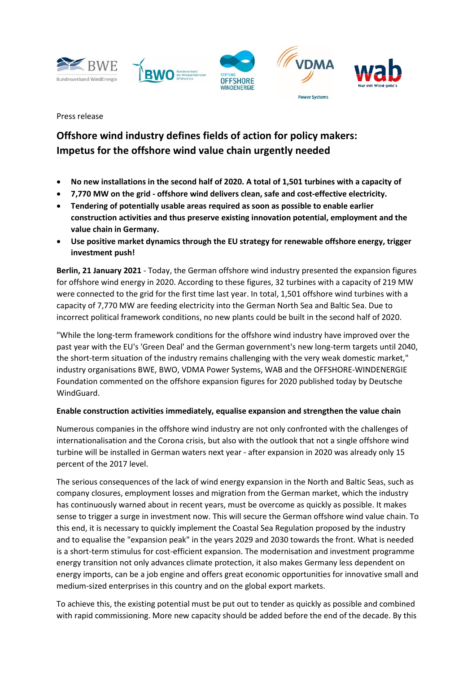







**Power Systems** 

Press release

# **Offshore wind industry defines fields of action for policy makers: Impetus for the offshore wind value chain urgently needed**

- **No new installations in the second half of 2020. A total of 1,501 turbines with a capacity of**
- **7,770 MW on the grid - offshore wind delivers clean, safe and cost-effective electricity.**
- **Tendering of potentially usable areas required as soon as possible to enable earlier construction activities and thus preserve existing innovation potential, employment and the value chain in Germany.**
- **Use positive market dynamics through the EU strategy for renewable offshore energy, trigger investment push!**

**Berlin, 21 January 2021** - Today, the German offshore wind industry presented the expansion figures for offshore wind energy in 2020. According to these figures, 32 turbines with a capacity of 219 MW were connected to the grid for the first time last year. In total, 1,501 offshore wind turbines with a capacity of 7,770 MW are feeding electricity into the German North Sea and Baltic Sea. Due to incorrect political framework conditions, no new plants could be built in the second half of 2020.

"While the long-term framework conditions for the offshore wind industry have improved over the past year with the EU's 'Green Deal' and the German government's new long-term targets until 2040, the short-term situation of the industry remains challenging with the very weak domestic market," industry organisations BWE, BWO, VDMA Power Systems, WAB and the OFFSHORE-WINDENERGIE Foundation commented on the offshore expansion figures for 2020 published today by Deutsche WindGuard.

# **Enable construction activities immediately, equalise expansion and strengthen the value chain**

Numerous companies in the offshore wind industry are not only confronted with the challenges of internationalisation and the Corona crisis, but also with the outlook that not a single offshore wind turbine will be installed in German waters next year - after expansion in 2020 was already only 15 percent of the 2017 level.

The serious consequences of the lack of wind energy expansion in the North and Baltic Seas, such as company closures, employment losses and migration from the German market, which the industry has continuously warned about in recent years, must be overcome as quickly as possible. It makes sense to trigger a surge in investment now. This will secure the German offshore wind value chain. To this end, it is necessary to quickly implement the Coastal Sea Regulation proposed by the industry and to equalise the "expansion peak" in the years 2029 and 2030 towards the front. What is needed is a short-term stimulus for cost-efficient expansion. The modernisation and investment programme energy transition not only advances climate protection, it also makes Germany less dependent on energy imports, can be a job engine and offers great economic opportunities for innovative small and medium-sized enterprises in this country and on the global export markets.

To achieve this, the existing potential must be put out to tender as quickly as possible and combined with rapid commissioning. More new capacity should be added before the end of the decade. By this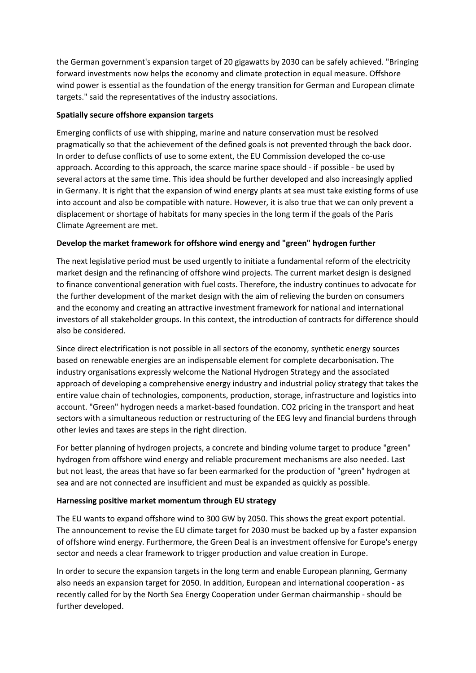the German government's expansion target of 20 gigawatts by 2030 can be safely achieved. "Bringing forward investments now helps the economy and climate protection in equal measure. Offshore wind power is essential as the foundation of the energy transition for German and European climate targets." said the representatives of the industry associations.

### **Spatially secure offshore expansion targets**

Emerging conflicts of use with shipping, marine and nature conservation must be resolved pragmatically so that the achievement of the defined goals is not prevented through the back door. In order to defuse conflicts of use to some extent, the EU Commission developed the co-use approach. According to this approach, the scarce marine space should - if possible - be used by several actors at the same time. This idea should be further developed and also increasingly applied in Germany. It is right that the expansion of wind energy plants at sea must take existing forms of use into account and also be compatible with nature. However, it is also true that we can only prevent a displacement or shortage of habitats for many species in the long term if the goals of the Paris Climate Agreement are met.

## **Develop the market framework for offshore wind energy and "green" hydrogen further**

The next legislative period must be used urgently to initiate a fundamental reform of the electricity market design and the refinancing of offshore wind projects. The current market design is designed to finance conventional generation with fuel costs. Therefore, the industry continues to advocate for the further development of the market design with the aim of relieving the burden on consumers and the economy and creating an attractive investment framework for national and international investors of all stakeholder groups. In this context, the introduction of contracts for difference should also be considered.

Since direct electrification is not possible in all sectors of the economy, synthetic energy sources based on renewable energies are an indispensable element for complete decarbonisation. The industry organisations expressly welcome the National Hydrogen Strategy and the associated approach of developing a comprehensive energy industry and industrial policy strategy that takes the entire value chain of technologies, components, production, storage, infrastructure and logistics into account. "Green" hydrogen needs a market-based foundation. CO2 pricing in the transport and heat sectors with a simultaneous reduction or restructuring of the EEG levy and financial burdens through other levies and taxes are steps in the right direction.

For better planning of hydrogen projects, a concrete and binding volume target to produce "green" hydrogen from offshore wind energy and reliable procurement mechanisms are also needed. Last but not least, the areas that have so far been earmarked for the production of "green" hydrogen at sea and are not connected are insufficient and must be expanded as quickly as possible.

## **Harnessing positive market momentum through EU strategy**

The EU wants to expand offshore wind to 300 GW by 2050. This shows the great export potential. The announcement to revise the EU climate target for 2030 must be backed up by a faster expansion of offshore wind energy. Furthermore, the Green Deal is an investment offensive for Europe's energy sector and needs a clear framework to trigger production and value creation in Europe.

In order to secure the expansion targets in the long term and enable European planning, Germany also needs an expansion target for 2050. In addition, European and international cooperation - as recently called for by the North Sea Energy Cooperation under German chairmanship - should be further developed.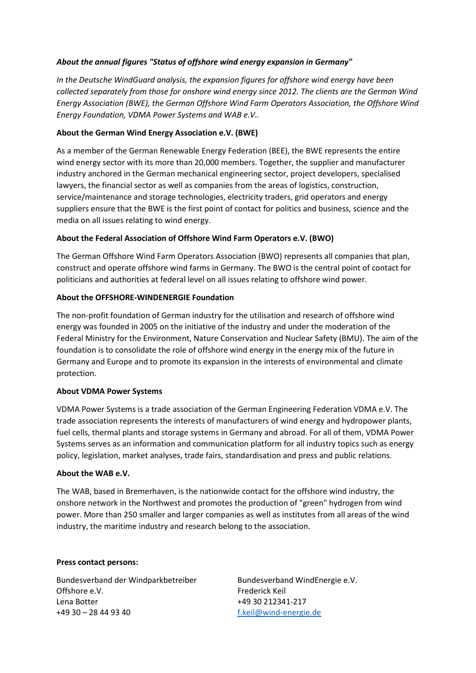### *About the annual figures "Status of offshore wind energy expansion in Germany"*

*In the Deutsche WindGuard analysis, the expansion figures for offshore wind energy have been collected separately from those for onshore wind energy since 2012. The clients are the German Wind Energy Association (BWE), the German Offshore Wind Farm Operators Association, the Offshore Wind Energy Foundation, VDMA Power Systems and WAB e.V..*

#### **About the German Wind Energy Association e.V. (BWE)**

As a member of the German Renewable Energy Federation (BEE), the BWE represents the entire wind energy sector with its more than 20,000 members. Together, the supplier and manufacturer industry anchored in the German mechanical engineering sector, project developers, specialised lawyers, the financial sector as well as companies from the areas of logistics, construction, service/maintenance and storage technologies, electricity traders, grid operators and energy suppliers ensure that the BWE is the first point of contact for politics and business, science and the media on all issues relating to wind energy.

#### **About the Federal Association of Offshore Wind Farm Operators e.V. (BWO)**

The German Offshore Wind Farm Operators Association (BWO) represents all companies that plan, construct and operate offshore wind farms in Germany. The BWO is the central point of contact for politicians and authorities at federal level on all issues relating to offshore wind power.

#### **About the OFFSHORE-WINDENERGIE Foundation**

The non-profit foundation of German industry for the utilisation and research of offshore wind energy was founded in 2005 on the initiative of the industry and under the moderation of the Federal Ministry for the Environment, Nature Conservation and Nuclear Safety (BMU). The aim of the foundation is to consolidate the role of offshore wind energy in the energy mix of the future in Germany and Europe and to promote its expansion in the interests of environmental and climate protection.

#### **About VDMA Power Systems**

VDMA Power Systems is a trade association of the German Engineering Federation VDMA e.V. The trade association represents the interests of manufacturers of wind energy and hydropower plants, fuel cells, thermal plants and storage systems in Germany and abroad. For all of them, VDMA Power Systems serves as an information and communication platform for all industry topics such as energy policy, legislation, market analyses, trade fairs, standardisation and press and public relations.

#### **About the WAB e.V.**

The WAB, based in Bremerhaven, is the nationwide contact for the offshore wind industry, the onshore network in the Northwest and promotes the production of "green" hydrogen from wind power. More than 250 smaller and larger companies as well as institutes from all areas of the wind industry, the maritime industry and research belong to the association.

#### **Press contact persons:**

Bundesverband der Windparkbetreiber Offshore e.V. Lena Botter +49 30 – 28 44 93 40

Bundesverband WindEnergie e.V. Frederick Keil +49 30 212341-217 [f.keil@wind-energie.de](mailto:f.keil@wind-energie.de)